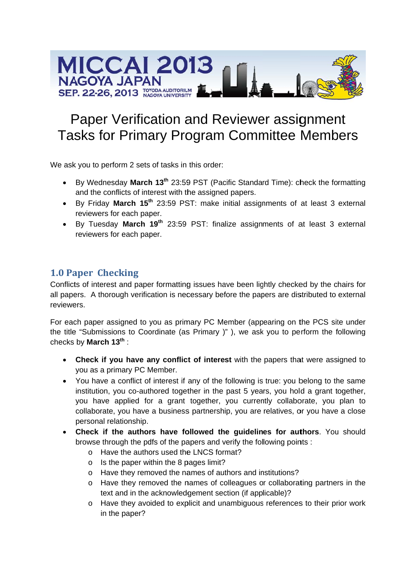

# **Paper Verification and Reviewer assignment Tasks for Primary Program Committee Members**

We ask you to perform 2 sets of tasks in this order:

- By Wednesday March 13<sup>th</sup> 23:59 PST (Pacific Standard Time): check the formatting and the conflicts of interest with the assigned papers.
- By Friday March 15<sup>th</sup> 23:59 PST: make initial assignments of at least 3 external reviewers for each paper.
- By Tuesday March 19<sup>th</sup> 23:59 PST: finalize assignments of at least 3 external reviewers for each paper.

# **1.0 Paper Checking**

Conflicts of interest and paper formatting issues have been lightly checked by the chairs for all papers. A thorough verification is necessary before the papers are distributed to external reviewers.

For each paper assigned to you as primary PC Member (appearing on the PCS site under the title "Submissions to Coordinate (as Primary )"), we ask you to perform the following checks by March 13th:

- Check if you have any conflict of interest with the papers that were assigned to you as a primary PC Member.
- You have a conflict of interest if any of the following is true: you belong to the same institution, you co-authored together in the past 5 years, you hold a grant together, you have applied for a grant together, you currently collaborate, you plan to collaborate, you have a business partnership, you are relatives, or you have a close personal relationship.
- Check if the authors have followed the quidelines for authors. You should browse through the pdfs of the papers and verify the following points :
	- o Have the authors used the LNCS format?
	- $\circ$  Is the paper within the 8 pages limit?
	- o Have they removed the names of authors and institutions?
	- o Have they removed the names of colleagues or collaborating partners in the text and in the acknowledgement section (if applicable)?
	- o Have they avoided to explicit and unambiguous references to their prior work in the paper?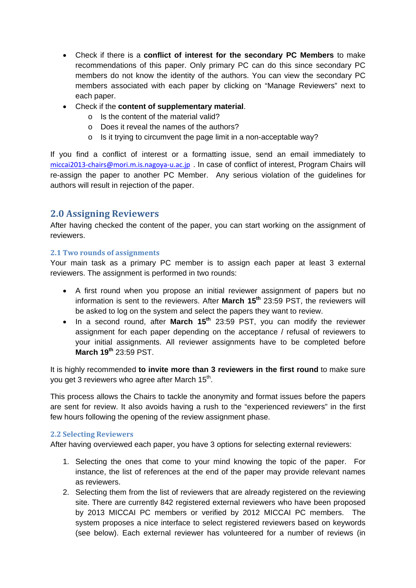- Check if there is a **conflict of interest for the secondary PC Members** to make recommendations of this paper. Only primary PC can do this since secondary PC members do not know the identity of the authors. You can view the secondary PC members associated with each paper by clicking on "Manage Reviewers" next to each paper.
- Check if the **content of supplementary material**.
	- o Is the content of the material valid?
	- o Does it reveal the names of the authors?
	- o Is it trying to circumvent the page limit in a non-acceptable way?

If you find a conflict of interest or a formatting issue, send an email immediately to miccai2013-chairs@mori.m.is.nagoya-u.ac.jp . In case of conflict of interest, Program Chairs will re-assign the paper to another PC Member. Any serious violation of the guidelines for authors will result in rejection of the paper.

## **2.0 Assigning Reviewers**

After having checked the content of the paper, you can start working on the assignment of reviewers.

#### **2.1 Two rounds of assignments**

Your main task as a primary PC member is to assign each paper at least 3 external reviewers. The assignment is performed in two rounds:

- A first round when you propose an initial reviewer assignment of papers but no information is sent to the reviewers. After **March 15th** 23:59 PST, the reviewers will be asked to log on the system and select the papers they want to review.
- In a second round, after **March 15<sup>th</sup>** 23:59 PST, you can modify the reviewer assignment for each paper depending on the acceptance / refusal of reviewers to your initial assignments. All reviewer assignments have to be completed before **March 19th** 23:59 PST.

It is highly recommended **to invite more than 3 reviewers in the first round** to make sure you get 3 reviewers who agree after March 15<sup>th</sup>.

This process allows the Chairs to tackle the anonymity and format issues before the papers are sent for review. It also avoids having a rush to the "experienced reviewers" in the first few hours following the opening of the review assignment phase.

#### **2.2 Selecting Reviewers**

After having overviewed each paper, you have 3 options for selecting external reviewers:

- 1. Selecting the ones that come to your mind knowing the topic of the paper. For instance, the list of references at the end of the paper may provide relevant names as reviewers.
- 2. Selecting them from the list of reviewers that are already registered on the reviewing site. There are currently 842 registered external reviewers who have been proposed by 2013 MICCAI PC members or verified by 2012 MICCAI PC members. The system proposes a nice interface to select registered reviewers based on keywords (see below). Each external reviewer has volunteered for a number of reviews (in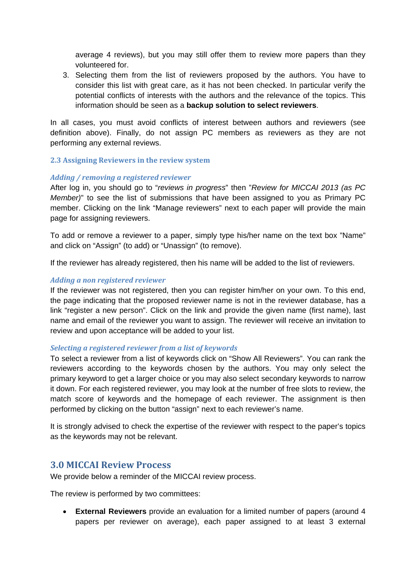average 4 reviews), but you may still offer them to review more papers than they volunteered for.

3. Selecting them from the list of reviewers proposed by the authors. You have to consider this list with great care, as it has not been checked. In particular verify the potential conflicts of interests with the authors and the relevance of the topics. This information should be seen as a **backup solution to select reviewers**.

In all cases, you must avoid conflicts of interest between authors and reviewers (see definition above). Finally, do not assign PC members as reviewers as they are not performing any external reviews.

#### **2.3 Assigning Reviewers in the review system**

#### *Adding / removing a registered reviewer*

After log in, you should go to "*reviews in progress*" then "*Review for MICCAI 2013 (as PC Member)*" to see the list of submissions that have been assigned to you as Primary PC member. Clicking on the link "Manage reviewers" next to each paper will provide the main page for assigning reviewers.

To add or remove a reviewer to a paper, simply type his/her name on the text box "Name" and click on "Assign" (to add) or "Unassign" (to remove).

If the reviewer has already registered, then his name will be added to the list of reviewers.

#### *Adding a non registered reviewer*

If the reviewer was not registered, then you can register him/her on your own. To this end, the page indicating that the proposed reviewer name is not in the reviewer database, has a link "register a new person". Click on the link and provide the given name (first name), last name and email of the reviewer you want to assign. The reviewer will receive an invitation to review and upon acceptance will be added to your list.

#### *Selecting a registered reviewer from a list of keywords*

To select a reviewer from a list of keywords click on "Show All Reviewers". You can rank the reviewers according to the keywords chosen by the authors. You may only select the primary keyword to get a larger choice or you may also select secondary keywords to narrow it down. For each registered reviewer, you may look at the number of free slots to review, the match score of keywords and the homepage of each reviewer. The assignment is then performed by clicking on the button "assign" next to each reviewer's name.

It is strongly advised to check the expertise of the reviewer with respect to the paper's topics as the keywords may not be relevant.

### **3.0 MICCAI Review Process**

We provide below a reminder of the MICCAI review process.

The review is performed by two committees:

 **External Reviewers** provide an evaluation for a limited number of papers (around 4 papers per reviewer on average), each paper assigned to at least 3 external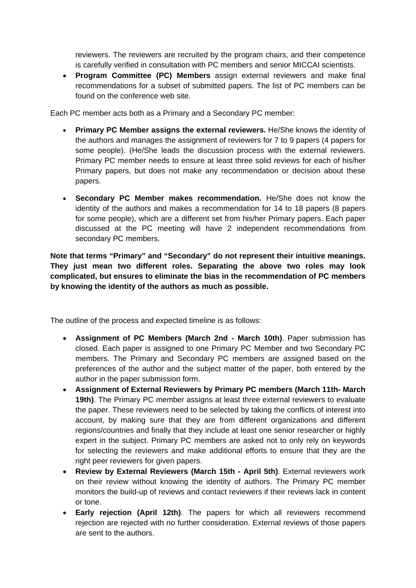reviewers. The reviewers are recruited by the program chairs, and their competence is carefully verified in consultation with PC members and senior MICCAI scientists.

 **Program Committee (PC) Members** assign external reviewers and make final recommendations for a subset of submitted papers. The list of PC members can be found on the conference web site.

Each PC member acts both as a Primary and a Secondary PC member:

- **Primary PC Member assigns the external reviewers.** He/She knows the identity of the authors and manages the assignment of reviewers for 7 to 9 papers (4 papers for some people). (He/She leads the discussion process with the external reviewers. Primary PC member needs to ensure at least three solid reviews for each of his/her Primary papers, but does not make any recommendation or decision about these papers.
- **Secondary PC Member makes recommendation.** He/She does not know the identity of the authors and makes a recommendation for 14 to 18 papers (8 papers for some people), which are a different set from his/her Primary papers. Each paper discussed at the PC meeting will have 2 independent recommendations from secondary PC members.

**Note that terms "Primary" and "Secondary" do not represent their intuitive meanings. They just mean two different roles. Separating the above two roles may look complicated, but ensures to eliminate the bias in the recommendation of PC members by knowing the identity of the authors as much as possible.** 

The outline of the process and expected timeline is as follows:

- **Assignment of PC Members (March 2nd March 10th)**. Paper submission has closed. Each paper is assigned to one Primary PC Member and two Secondary PC members. The Primary and Secondary PC members are assigned based on the preferences of the author and the subject matter of the paper, both entered by the author in the paper submission form.
- **Assignment of External Reviewers by Primary PC members (March 11th- March 19th)**. The Primary PC member assigns at least three external reviewers to evaluate the paper. These reviewers need to be selected by taking the conflicts of interest into account, by making sure that they are from different organizations and different regions/countries and finally that they include at least one senior researcher or highly expert in the subject. Primary PC members are asked not to only rely on keywords for selecting the reviewers and make additional efforts to ensure that they are the right peer reviewers for given papers.
- **Review by External Reviewers (March 15th April 5th)**. External reviewers work on their review without knowing the identity of authors. The Primary PC member monitors the build-up of reviews and contact reviewers if their reviews lack in content or tone.
- **Early rejection (April 12th)**. The papers for which all reviewers recommend rejection are rejected with no further consideration. External reviews of those papers are sent to the authors.